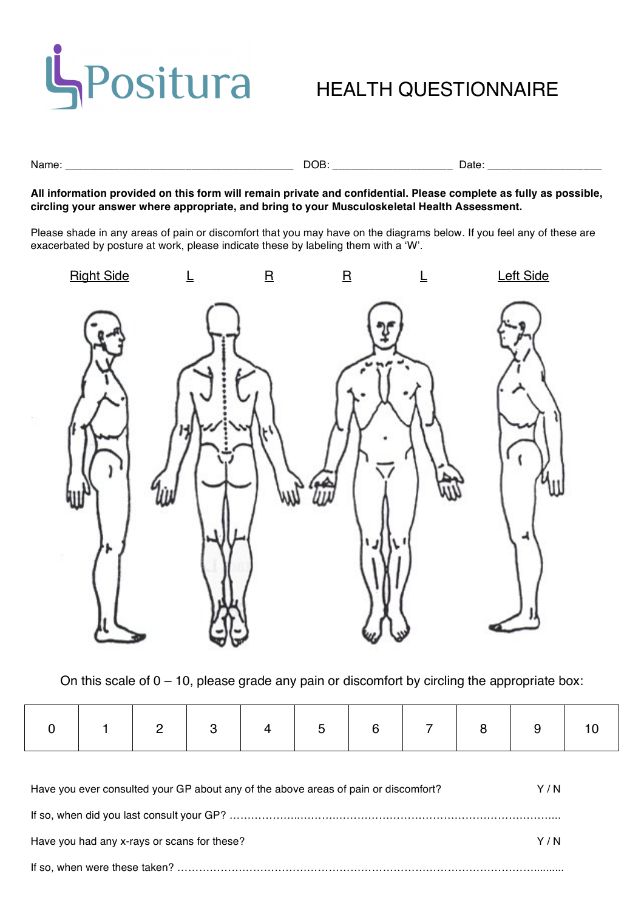

Name: \_\_\_\_\_\_\_\_\_\_\_\_\_\_\_\_\_\_\_\_\_\_\_\_\_\_\_\_\_\_\_\_\_\_\_\_\_\_ DOB: \_\_\_\_\_\_\_\_\_\_\_\_\_\_\_\_\_\_\_\_ Date: \_\_\_\_\_\_\_\_\_\_\_\_\_\_\_\_\_\_\_

**All information provided on this form will remain private and confidential. Please complete as fully as possible, circling your answer where appropriate, and bring to your Musculoskeletal Health Assessment.**

Please shade in any areas of pain or discomfort that you may have on the diagrams below. If you feel any of these are exacerbated by posture at work, please indicate these by labeling them with a ʻW'.



On this scale of  $0 - 10$ , please grade any pain or discomfort by circling the appropriate box:

| Have you ever consulted your GP about any of the above areas of pain or discomfort? | Y / N |
|-------------------------------------------------------------------------------------|-------|
|                                                                                     |       |
| Have you had any x-rays or scans for these?                                         | Y / N |
|                                                                                     |       |